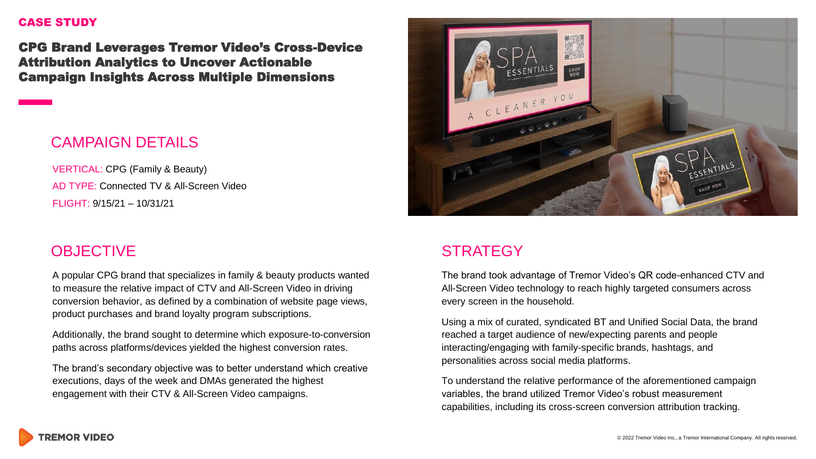#### CASE STUDY

CPG Brand Leverages Tremor Video's Cross-Device Attribution Analytics to Uncover Actionable Campaign Insights Across Multiple Dimensions

## CAMPAIGN DETAILS

VERTICAL: CPG (Family & Beauty) AD TYPE: Connected TV & All-Screen Video FLIGHT: 9/15/21 – 10/31/21

## **OBJECTIVE**

A popular CPG brand that specializes in family & beauty products wanted to measure the relative impact of CTV and All-Screen Video in driving conversion behavior, as defined by a combination of website page views, product purchases and brand loyalty program subscriptions.

Additionally, the brand sought to determine which exposure-to-conversion paths across platforms/devices yielded the highest conversion rates.

The brand's secondary objective was to better understand which creative executions, days of the week and DMAs generated the highest engagement with their CTV & All-Screen Video campaigns.



## **STRATEGY**

The brand took advantage of Tremor Video's QR code-enhanced CTV and All-Screen Video technology to reach highly targeted consumers across every screen in the household.

Using a mix of curated, syndicated BT and Unified Social Data, the brand reached a target audience of new/expecting parents and people interacting/engaging with family-specific brands, hashtags, and personalities across social media platforms.

To understand the relative performance of the aforementioned campaign variables, the brand utilized Tremor Video's robust measurement capabilities, including its cross-screen conversion attribution tracking.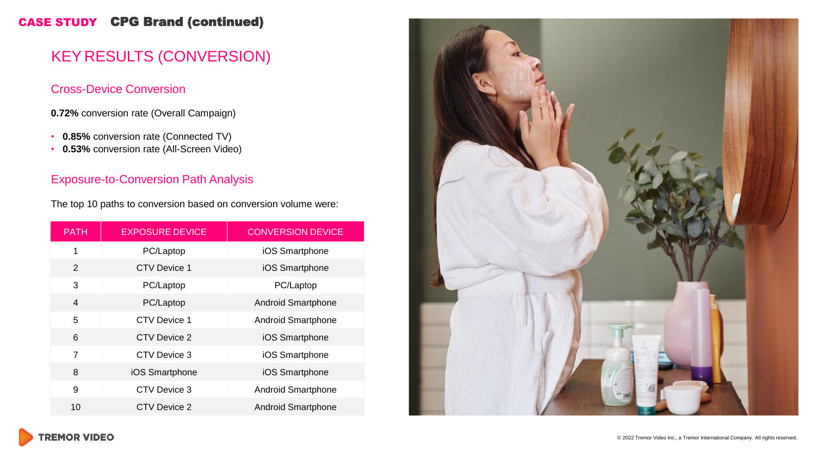### CASE STUDY CPG Brand (continued)

# KEY RESULTS (CONVERSION)

#### Cross-Device Conversion

**0.72%** conversion rate (Overall Campaign)

- **0.85%** conversion rate (Connected TV)
- **0.53%** conversion rate (All-Screen Video)

#### Exposure-to-Conversion Path Analysis

The top 10 paths to conversion based on conversion volume were:

| <b>PATH</b>    | <b>EXPOSURE DEVICE</b> | <b>CONVERSION DEVICE</b>  |
|----------------|------------------------|---------------------------|
| 1              | PC/Laptop              | iOS Smartphone            |
| 2              | <b>CTV Device 1</b>    | iOS Smartphone            |
| 3              | PC/Laptop              | PC/Laptop                 |
| $\overline{4}$ | PC/Laptop              | <b>Android Smartphone</b> |
| 5              | <b>CTV Device 1</b>    | <b>Android Smartphone</b> |
| 6              | CTV Device 2           | iOS Smartphone            |
| $\overline{7}$ | CTV Device 3           | iOS Smartphone            |
| 8              | iOS Smartphone         | iOS Smartphone            |
| 9              | CTV Device 3           | <b>Android Smartphone</b> |
| 10             | CTV Device 2           | <b>Android Smartphone</b> |